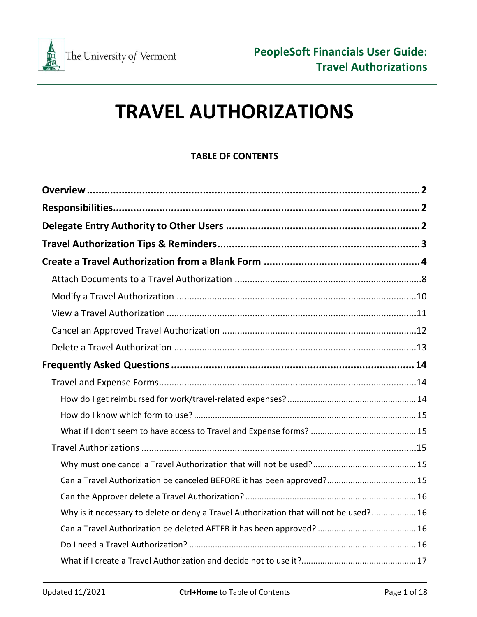

# **TRAVEL AUTHORIZATIONS**

# **TABLE OF CONTENTS**

| Why is it necessary to delete or deny a Travel Authorization that will not be used? 16 |
|----------------------------------------------------------------------------------------|
|                                                                                        |
|                                                                                        |
|                                                                                        |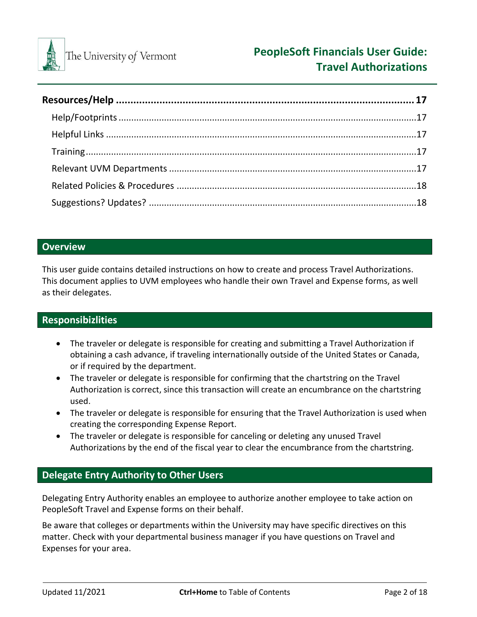

## <span id="page-1-0"></span>**Overview**

This user guide contains detailed instructions on how to create and process Travel Authorizations. This document applies to UVM employees who handle their own Travel and Expense forms, as well as their delegates.

# <span id="page-1-1"></span>**Responsibizlities**

- The traveler or delegate is responsible for creating and submitting a Travel Authorization if obtaining a cash advance, if traveling internationally outside of the United States or Canada, or if required by the department.
- The traveler or delegate is responsible for confirming that the chartstring on the Travel Authorization is correct, since this transaction will create an encumbrance on the chartstring used.
- The traveler or delegate is responsible for ensuring that the Travel Authorization is used when creating the corresponding Expense Report.
- The traveler or delegate is responsible for canceling or deleting any unused Travel Authorizations by the end of the fiscal year to clear the encumbrance from the chartstring.

# <span id="page-1-2"></span>**Delegate Entry Authority to Other Users**

Delegating Entry Authority enables an employee to authorize another employee to take action on PeopleSoft Travel and Expense forms on their behalf.

Be aware that colleges or departments within the University may have specific directives on this matter. Check with your departmental business manager if you have questions on Travel and Expenses for your area.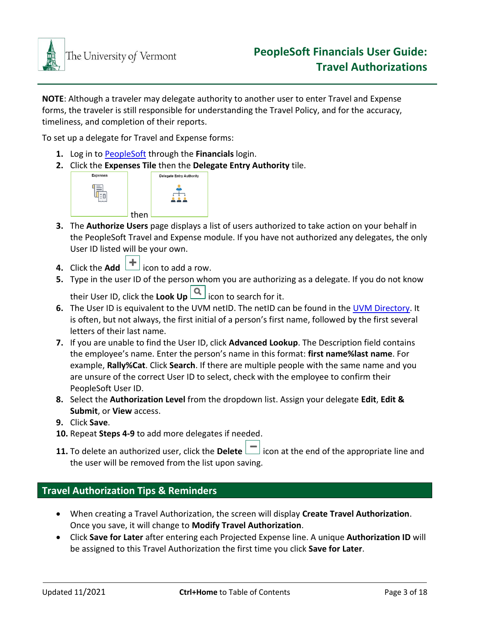

**NOTE**: Although a traveler may delegate authority to another user to enter Travel and Expense forms, the traveler is still responsible for understanding the Travel Policy, and for the accuracy, timeliness, and completion of their reports.

To set up a delegate for Travel and Expense forms:

- **1.** Log in to [PeopleSoft](https://www.uvm.edu/~erp/portal/) through the **Financials** login.
- **2.** Click the **Expenses Tile** then the **Delegate Entry Authority** tile.



- **3.** The **Authorize Users** page displays a list of users authorized to take action on your behalf in the PeopleSoft Travel and Expense module. If you have not authorized any delegates, the only User ID listed will be your own.
- **4.** Click the **Add**  $\begin{bmatrix} + \end{bmatrix}$  icon to add a row.
- **5.** Type in the user ID of the person whom you are authorizing as a delegate. If you do not know their User ID, click the **Look Up** icon to search for it.
- **6.** The User ID is equivalent to the UVM netID. The netID can be found in the [UVM Directory.](http://www.uvm.edu/directory) It is often, but not always, the first initial of a person's first name, followed by the first several letters of their last name.
- **7.** If you are unable to find the User ID, click **Advanced Lookup**. The Description field contains the employee's name. Enter the person's name in this format: **first name%last name**. For example, **Rally%Cat**. Click **Search**. If there are multiple people with the same name and you are unsure of the correct User ID to select, check with the employee to confirm their PeopleSoft User ID.
- **8.** Select the **Authorization Level** from the dropdown list. Assign your delegate **Edit**, **Edit & Submit**, or **View** access.
- **9.** Click **Save**.
- **10.** Repeat **Steps 4-9** to add more delegates if needed.
- **11.** To delete an authorized user, click the **Delete**  $\Box$  icon at the end of the appropriate line and the user will be removed from the list upon saving.

# <span id="page-2-0"></span>**Travel Authorization Tips & Reminders**

- When creating a Travel Authorization, the screen will display **Create Travel Authorization**. Once you save, it will change to **Modify Travel Authorization**.
- Click **Save for Later** after entering each Projected Expense line. A unique **Authorization ID** will be assigned to this Travel Authorization the first time you click **Save for Later**.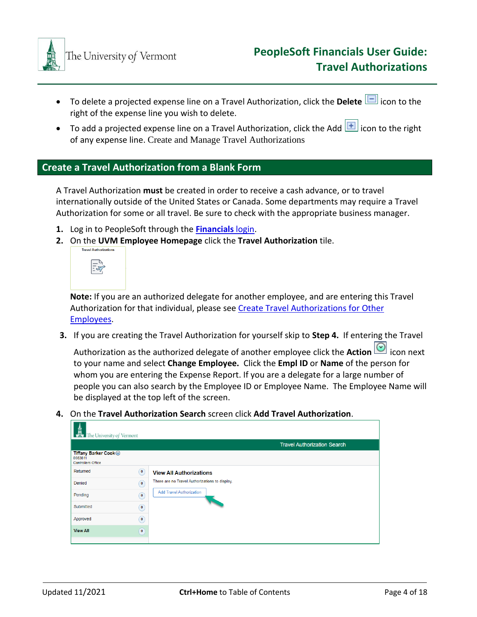

- To delete a projected expense line on a Travel Authorization, click the **Delete D** icon to the right of the expense line you wish to delete.
- To add a projected expense line on a Travel Authorization, click the Add  $\boxed{+}$  icon to the right of any expense line. Create and Manage Travel Authorizations

## <span id="page-3-0"></span>**Create a Travel Authorization from a Blank Form**

A Travel Authorization **must** be created in order to receive a cash advance, or to travel internationally outside of the United States or Canada. Some departments may require a Travel Authorization for some or all travel. Be sure to check with the appropriate business manager.

- **1.** Log in to PeopleSoft through the **[Financials](https://www.uvm.edu/~erp/portal/)** login.
- **2.** On the UVM Employee Homepage click the Travel Authorization tile.



**Note:** If you are an authorized delegate for another employee, and are entering this Travel Authorization for that individual, please see [Create Travel Authorizations](#page-7-0) for Other [Employees.](#page-7-0)

**3.** If you are creating the Travel Authorization for yourself skip to **Step 4.** If entering the Travel

Authorization as the authorized delegate of another employee click the **Action ideal** icon next to your name and select **Change Employee.** Click the **Empl ID** or **Name** of the person for whom you are entering the Expense Report. If you are a delegate for a large number of people you can also search by the Employee ID or Employee Name. The Employee Name will be displayed at the top left of the screen.

**4.** On the **Travel Authorization Search** screen click **Add Travel Authorization**.

| $\frac{Im}{Im}$ The University of Vermont                     |           |                                                |
|---------------------------------------------------------------|-----------|------------------------------------------------|
|                                                               |           | <b>Travel Authorization Search</b>             |
| Tiffany Barker Cook ⊙<br>0083811<br><b>Controllers Office</b> |           |                                                |
| Returned                                                      | $\bullet$ | <b>View All Authorizations</b>                 |
| Denied                                                        | $\circ$   | There are no Travel Authorizations to display. |
| Pending                                                       | $\circ$   | <b>Add Travel Authorization</b>                |
| Submitted                                                     | $\circ$   |                                                |
| Approved                                                      | $\bullet$ |                                                |
| <b>View All</b>                                               | $\bullet$ |                                                |
|                                                               |           |                                                |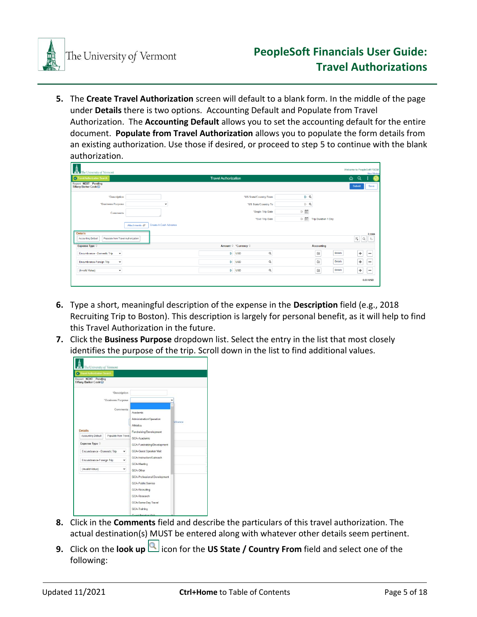

**5.** The **Create Travel Authorization** screen will default to a blank form. In the middle of the page under **Details** there is two options. Accounting Default and Populate from Travel Authorization. The **Accounting Default** allows you to set the accounting default for the entire document. **Populate from Travel Authorization** allows you to populate the form details from an existing authorization. Use those if desired, or proceed to step 5 to continue with the blank authorization.

| The University of Vermont                                                         |                                        |                             |                          |                                                |                            | Welcome to PeopleSoft FSCM<br>New Window |
|-----------------------------------------------------------------------------------|----------------------------------------|-----------------------------|--------------------------|------------------------------------------------|----------------------------|------------------------------------------|
| C Travel Authorization Search                                                     |                                        | <b>Travel Authorization</b> |                          |                                                |                            | $\alpha$<br>⋒<br>ž                       |
| <b>Report NEXT Pending</b><br>Tiffany Barker Cook⊙                                |                                        |                             |                          |                                                |                            | Submit<br>Save                           |
| <i><b>*Description</b></i>                                                        |                                        |                             | "US State/Country From   | DQ                                             |                            |                                          |
| *Business Purpose                                                                 | $\check{}$                             |                             | *US State/Country To     | $\mathbb{D}$ Q                                 |                            |                                          |
| Comments                                                                          |                                        |                             | "Begin Trip Date         | $\begin{bmatrix} 1 & 0 \\ 0 & 1 \end{bmatrix}$ |                            |                                          |
|                                                                                   |                                        |                             | *End Trip Date           | 医面                                             | <b>Trip Duration 1 Day</b> |                                          |
|                                                                                   | Create A Cash Advance<br>Attachments @ |                             |                          |                                                |                            |                                          |
| <b>Details</b><br><b>Accounting Default</b><br>Populate from Travel Authorization |                                        |                             |                          |                                                |                            | 3 rows<br>$\mathbb{F}_4$<br>礼<br>Q       |
| Expense Type C                                                                    |                                        |                             | Amount © *Currency ©     |                                                | <b>Accounting</b>          |                                          |
| Encumbrance - Domestic Trip<br>$\check{~}$                                        |                                        |                             | $\alpha$<br><b>D</b> USD |                                                | 儲<br><b>Details</b>        | ÷<br>$\overline{\phantom{m}}$            |
| Encumbrance-Foreign Trip<br>$\check{~}$                                           |                                        | D.                          | Q<br><b>USD</b>          |                                                | 儲<br><b>Details</b>        | ÷<br>$\overline{\phantom{a}}$            |
| (Invalid Value)<br>$\check{~}$                                                    |                                        |                             | Q<br>$\mathbb{D}$ USD    |                                                | Details<br>儲               | $\ddot{}$<br>$\overline{\phantom{m}}$    |
|                                                                                   |                                        |                             |                          |                                                |                            | 0.00 USD                                 |

- **6.** Type a short, meaningful description of the expense in the **Description** field (e.g., 2018 Recruiting Trip to Boston). This description is largely for personal benefit, as it will help to find this Travel Authorization in the future.
- **7.** Click the **Business Purpose** dropdown list. Select the entry in the list that most closely identifies the purpose of the trip. Scroll down in the list to find additional values.

| <b>C</b> Travel Authorization Search                       |                      |                                                                                                                                           |              |
|------------------------------------------------------------|----------------------|-------------------------------------------------------------------------------------------------------------------------------------------|--------------|
| <b>Report NEXT Pending</b><br>Tiffany Barker Cook <b>⊙</b> |                      |                                                                                                                                           |              |
|                                                            | *Description         |                                                                                                                                           |              |
|                                                            | "Business Purpose    |                                                                                                                                           | $\checkmark$ |
|                                                            | Comments             | Academic<br>Administration/Operation<br>Athletics                                                                                         | Advance      |
| <b>Details</b>                                             |                      | Fundraising/Development                                                                                                                   |              |
| Accounting Default                                         | Populate from Travel | GCA-Academic                                                                                                                              |              |
| Expense Type $\diamond$                                    |                      | GCA-Fundraising/Development                                                                                                               |              |
| Encumbrance - Domestic Trip                                | v                    | <b>GCA-Guest Speaker Visit</b>                                                                                                            |              |
| Encumbrance-Foreign Trip                                   | v                    | GCA-Instruction/Outreach<br><b>GCA-Meeting</b>                                                                                            |              |
| (Invalid Value)                                            | $\check{~}$          | GCA-Other                                                                                                                                 |              |
|                                                            |                      | GCA-Professional Development<br><b>GCA-Public Service</b><br><b>GCA-Recruiting</b><br>GCA-Research<br>GCA-Same-Day Travel<br>GCA-Training |              |

- **8.** Click in the **Comments** field and describe the particulars of this travel authorization. The actual destination(s) MUST be entered along with whatever other details seem pertinent.
- **9.** Click on the **look up** icon for the **US State / Country From** field and select one of the following: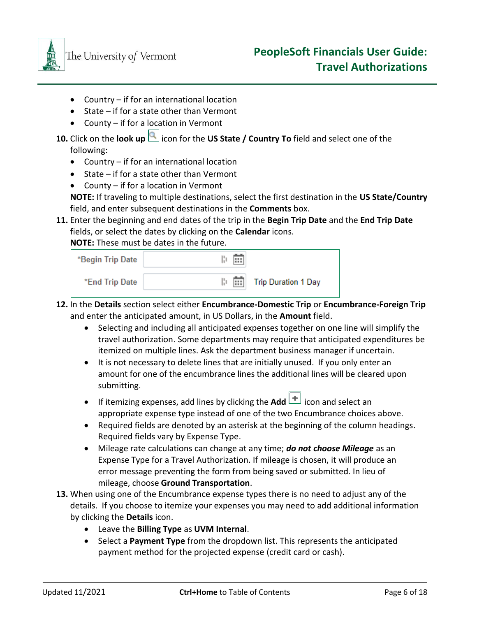

- Country if for an international location
- State if for a state other than Vermont
- County if for a location in Vermont
- **10.** Click on the **look up** icon for the **US State / Country To** field and select one of the following:
	- Country if for an international location
	- State if for a state other than Vermont
	- County if for a location in Vermont

**NOTE:** If traveling to multiple destinations, select the first destination in the **US State/Country** field, and enter subsequent destinations in the **Comments** box.

**11.** Enter the beginning and end dates of the trip in the **Begin Trip Date** and the **End Trip Date**  fields, or select the dates by clicking on the **Calendar** icons.

**NOTE:** These must be dates in the future.

| *Begin Trip Date | 医菌 |                                   |
|------------------|----|-----------------------------------|
| *End Trip Date   |    | <b>It is:</b> Trip Duration 1 Day |

- **12.** In the **Details** section select either **Encumbrance-Domestic Trip** or **Encumbrance-Foreign Trip**  and enter the anticipated amount, in US Dollars, in the **Amount** field.
	- Selecting and including all anticipated expenses together on one line will simplify the travel authorization. Some departments may require that anticipated expenditures be itemized on multiple lines. Ask the department business manager if uncertain.
	- It is not necessary to delete lines that are initially unused. If you only enter an amount for one of the encumbrance lines the additional lines will be cleared upon submitting.
	- If itemizing expenses, add lines by clicking the **Add**  $\left| \frac{+}{+} \right|$  icon and select an appropriate expense type instead of one of the two Encumbrance choices above.
	- Required fields are denoted by an asterisk at the beginning of the column headings. Required fields vary by Expense Type.
	- Mileage rate calculations can change at any time; *do not choose Mileage* as an Expense Type for a Travel Authorization. If mileage is chosen, it will produce an error message preventing the form from being saved or submitted. In lieu of mileage, choose **Ground Transportation**.
- **13.** When using one of the Encumbrance expense types there is no need to adjust any of the details. If you choose to itemize your expenses you may need to add additional information by clicking the **Details** icon.
	- Leave the **Billing Type** as **UVM Internal**.
	- Select a **Payment Type** from the dropdown list. This represents the anticipated payment method for the projected expense (credit card or cash).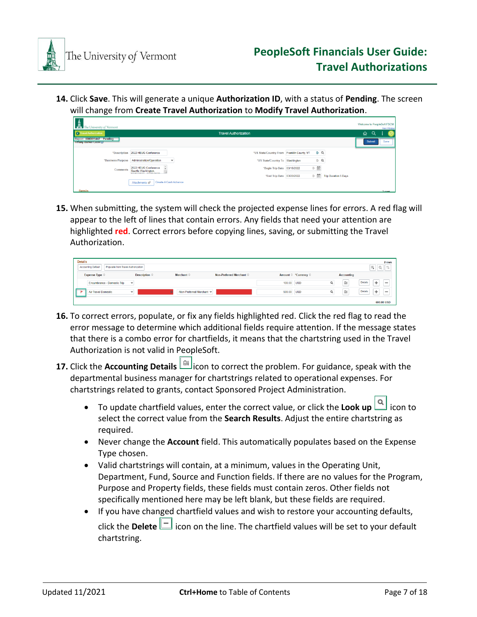

**14.** Click **Save**. This will generate a unique **Authorization ID**, with a status of **Pending**. The screen will change from **Create Travel Authorization** to **Modify Travel Authorization**.

| $\frac{\frac{1}{\sqrt{N}}}{\sqrt{N}}$ The University of Vermont |                                                                    |                                            |                |                             | <b>Welcome to PeopleSoft FSCM</b> | New Window |
|-----------------------------------------------------------------|--------------------------------------------------------------------|--------------------------------------------|----------------|-----------------------------|-----------------------------------|------------|
| <b>C</b> Travel Authorization                                   |                                                                    | <b>Travel Authorization</b>                |                |                             | $\alpha$<br>⋒                     |            |
| Report 0000011447 Pending<br>Tiffany Barker Cook(ッ)             |                                                                    |                                            |                |                             | Submit                            | Save       |
| *Description                                                    | 2022 HEUG Conference                                               | "US State/Country From Franklin County, VT | P Q            |                             |                                   |            |
| *Business Purpose                                               | Administration/Operation<br>$\checkmark$                           | *US State/Country To Washington            | $\mathbb{R}$ Q |                             |                                   |            |
| <b>Comments</b>                                                 | 2022 HEUG Conference<br>Seattle Washington<br>Anistinana Aninamana | *Begin Trip Date 03/15/2022                | 医曲             |                             |                                   |            |
|                                                                 |                                                                    | *End Trip Date 03/20/2022                  | 10 田           | <b>Trip Duration 5 Days</b> |                                   |            |
|                                                                 | Create A Cash Advance<br>Attachments                               |                                            |                |                             |                                   |            |
| <b>Details</b>                                                  |                                                                    |                                            |                |                             |                                   | 3 rows     |

**15.** When submitting, the system will check the projected expense lines for errors. A red flag will appear to the left of lines that contain errors. Any fields that need your attention are highlighted **red**. Correct errors before copying lines, saving, or submitting the Travel Authorization.

| <b>Details</b>                                           |               |                           |                          |            |                      |                   | 2 rows                                          |
|----------------------------------------------------------|---------------|---------------------------|--------------------------|------------|----------------------|-------------------|-------------------------------------------------|
| Populate from Travel Authorization<br>Accounting Default |               |                           |                          |            |                      |                   | $\overline{[X_{\underline{a}}]}$<br>Q<br>礼      |
| Expense Type $\circ$                                     | Description 0 | Merchant $\circ$          | Non-Preferred Merchant C |            | Amount © *Currency © | <b>Accounting</b> |                                                 |
| Encumbrance - Domestic Trip                              | $\checkmark$  |                           |                          | 100.00     | Q<br><b>USD</b>      | O:                | ÷<br><b>Details</b><br>$\overline{\phantom{a}}$ |
| <b>Air Travel Domestic</b>                               | $\checkmark$  | -Non-Preferred Merchant V |                          | 500.00 USD | Q                    | O:                | Details<br>÷<br>$\overline{\phantom{a}}$        |
|                                                          |               |                           |                          |            |                      |                   | 600.00 USD                                      |

- **16.** To correct errors, populate, or fix any fields highlighted red. Click the red flag to read the error message to determine which additional fields require attention. If the message states that there is a combo error for chartfields, it means that the chartstring used in the Travel Authorization is not valid in PeopleSoft.
- **17.** Click the **Accounting Details** icon to correct the problem. For guidance, speak with the departmental business manager for chartstrings related to operational expenses. For chartstrings related to grants, contact Sponsored Project Administration.
	- To update chartfield values, enter the correct value, or click the **Look up** icon to select the correct value from the **Search Results**. Adjust the entire chartstring as required.
	- Never change the **Account** field. This automatically populates based on the Expense Type chosen.
	- Valid chartstrings will contain, at a minimum, values in the Operating Unit, Department, Fund, Source and Function fields. If there are no values for the Program, Purpose and Property fields, these fields must contain zeros. Other fields not specifically mentioned here may be left blank, but these fields are required.
	- If you have changed chartfield values and wish to restore your accounting defaults, click the **Delete**  $\boxed{\phantom{a}}$  icon on the line. The chartfield values will be set to your default chartstring.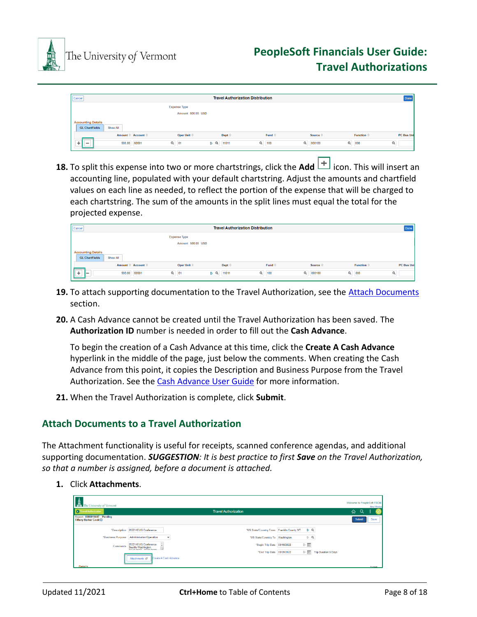

The University of Vermont

| Cancel                                             | <b>Travel Authorization Distribution</b> |                                      |                      |                         |                 |                    | Done                |            |
|----------------------------------------------------|------------------------------------------|--------------------------------------|----------------------|-------------------------|-----------------|--------------------|---------------------|------------|
|                                                    | <b>Expense Type</b>                      |                                      |                      |                         |                 |                    |                     |            |
|                                                    |                                          |                                      | Amount 500.00 USD    |                         |                 |                    |                     |            |
| <b>Accounting Details</b><br><b>GL ChartFields</b> | Show All                                 |                                      |                      |                         |                 |                    |                     |            |
|                                                    |                                          | Amount $\Diamond$ Account $\Diamond$ | Oper Unit $\Diamond$ | Dept $\circ$            | Fund $\Diamond$ | Source $\Diamond$  | Function $\Diamond$ | PC Bus Uni |
| __<br>м                                            | 500.00                                   | 60501                                | $Q$ 01               | $\mathbb{R}^n$<br>11011 | $\alpha$<br>100 | $\alpha$<br>000100 | $\alpha$<br>000     | Q          |

**18.** To split this expense into two or more chartstrings, click the **Add**  $\left| \frac{+}{+} \right|$  icon. This will insert an accounting line, populated with your default chartstring. Adjust the amounts and chartfield values on each line as needed, to reflect the portion of the expense that will be charged to each chartstring. The sum of the amounts in the split lines must equal the total for the projected expense.

| Cancel                                             |                     |                   | <b>Travel Authorization Distribution</b> |                    |                    |                     | Done       |
|----------------------------------------------------|---------------------|-------------------|------------------------------------------|--------------------|--------------------|---------------------|------------|
|                                                    | <b>Expense Type</b> |                   |                                          |                    |                    |                     |            |
|                                                    |                     | Amount 500.00 USD |                                          |                    |                    |                     |            |
| <b>Accounting Details</b><br><b>GL ChartFields</b> | Show All            |                   |                                          |                    |                    |                     |            |
|                                                    | Amount © Account ©  | Oper Unit O       | Dept $\Diamond$                          | Fund $\circ$       | Source $\Diamond$  | Function $\Diamond$ | PC Bus Uni |
| -                                                  | 500.00<br>60501     | $Q$ 01            | BQ<br>11011                              | $Q_{\perp}$<br>100 | $\alpha$<br>000100 | $\alpha$<br>000     | $\alpha$   |

- **19.** To attach supporting documentation to the Travel Authorization, see the Attach [Documents](#page-7-0) section.
- **20.** A Cash Advance cannot be created until the Travel Authorization has been saved. The **Authorization ID** number is needed in order to fill out the **Cash Advance**.

To begin the creation of a Cash Advance at this time, click the **Create A Cash Advance** hyperlink in the middle of the page, just below the comments. When creating the Cash Advance from this point, it copies the Description and Business Purpose from the Travel Authorization. See the Cash Advance [User](http://www.uvm.edu/sites/default/files/Division-of-Finance/UserGuides/cashadvances.pdf) Guide for more information.

**21.** When the Travel Authorization is complete, click **Submit**.

# <span id="page-7-0"></span>**Attach Documents to a Travel Authorization**

The Attachment functionality is useful for receipts, scanned conference agendas, and additional supporting documentation. *SUGGESTION: It is best practice to first Save on the Travel Authorization, so that a number is assigned, before a document is attached.*

**1.** Click **Attachments**.

| The University of Vermont                                |                                                                 |                                            |                  |                             | Welcome to PeopleSoft FSCM | New Window   |
|----------------------------------------------------------|-----------------------------------------------------------------|--------------------------------------------|------------------|-----------------------------|----------------------------|--------------|
| <b>C</b> Travel Authorization                            |                                                                 | <b>Travel Authorization</b>                |                  |                             | ⋒<br>Q                     |              |
| Report 0000011447 Pending<br><b>Tiffany Barker Cook⊙</b> |                                                                 |                                            |                  |                             | Submit                     | Save         |
|                                                          | *Description 2022 HEUG Conference                               | *US State/Country From Franklin County, VT | la q             |                             |                            |              |
|                                                          | *Business Purpose Administration/Operation<br>$\check{~}$       | "US State/Country To Washington            | $\mathbb{R}^n$ Q |                             |                            |              |
| Comments                                                 | 2022 HEUG Conference<br>Seattle Washington.<br>ASHESASS ASSASSS | "Begin Trip Date 03/15/2022                | 医曲               |                             |                            |              |
|                                                          | Create A Cash Advance<br>Attachments @                          | "End Trip Date 03/20/2022                  | 医面               | <b>Trip Duration 5 Days</b> |                            |              |
| <b>Details</b>                                           |                                                                 |                                            |                  |                             |                            | <b>Trows</b> |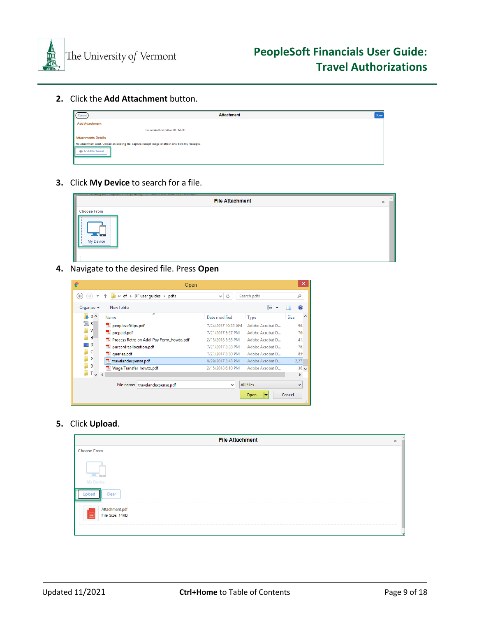

**2.** Click the **Add Attachment** button.

| Cancel                     | <b>Attachment</b>                                                                                   | Done |
|----------------------------|-----------------------------------------------------------------------------------------------------|------|
| <b>Add Attachment</b>      |                                                                                                     |      |
|                            | <b>Travel Authorization ID NEXT</b>                                                                 |      |
| <b>Attachments Details</b> |                                                                                                     |      |
| + Add Attachment           | No attachment exist. Upload an existing file, capture receipt image or attach one from My Receipts. |      |

**3.** Click **My Device** to search for a file.

| VALUATION CONTINUES IN A REPORT OF A VEHICLE CONTINUES INTO A VEHICLE CONTINUES IN A VALUE OF A VEHICLE CONTINUES. |  |
|--------------------------------------------------------------------------------------------------------------------|--|
| <b>File Attachment</b>                                                                                             |  |
| <b>Choose From</b><br>Device                                                                                       |  |
|                                                                                                                    |  |

**4.** Navigate to the desired file. Press **Open**

| c                              | Open                                                 |                    |                  | $\mathsf{x}$       |  |  |
|--------------------------------|------------------------------------------------------|--------------------|------------------|--------------------|--|--|
| €                              | « df $\rightarrow$ DF user quides $\rightarrow$ pdfs | Ċ<br>v             | Search pdfs      | ρ                  |  |  |
| Organize $\blacktriangleright$ | New folder                                           |                    | 睚                |                    |  |  |
| b.<br>$D^{\wedge}$             | ∽<br>Name                                            | Date modified      | Type             | $\wedge$<br>Size   |  |  |
| [編] R                          | peoplesofttips.pdf                                   | 7/24/2017 10:22 AM | Adobe Acrobat D  | 96                 |  |  |
| M                              | $\rightarrow$ prepaid.pdf                            | 7/21/2017 3:27 PM  | Adobe Acrobat D  | 76                 |  |  |
| d                              | 7. Process Retro on Addl Pay Form howto.pdf          | 2/15/2018 5:55 PM  | Adobe Acrobat D  | 41.                |  |  |
| $\blacksquare$ D               | purcardreallocation.pdf                              | 7/21/2017 3:28 PM  | Adobe Acrobat D  | 76                 |  |  |
| II C                           | <sup>-</sup> queries.pdf                             | 7/21/2017 3:30 PM  | Adobe Acrobat D  | 85                 |  |  |
| P                              | travelandexpense.pdf                                 | 9/29/2017 3:43 PM  | Adobe Acrobat D  | 2,27               |  |  |
| D                              | Wage Transfer_howto.pdf                              | 2/15/2018 6:10 PM  | Adobe Acrobat D  | 36<br>$\checkmark$ |  |  |
| $T_{\vee}$ <                   |                                                      |                    |                  | $\rightarrow$      |  |  |
|                                | File name:<br>travelandexpense.pdf                   | v                  | <b>All Files</b> | v                  |  |  |
| Cancel<br>Open<br>▼            |                                                      |                    |                  |                    |  |  |

**5.** Click **Upload**.

| <b>File Attachment</b>                                 | $\times$ |  |
|--------------------------------------------------------|----------|--|
| <b>Choose From</b>                                     |          |  |
| My Device                                              |          |  |
| Clear                                                  |          |  |
| Attachment.pdf<br>File Size: 14KB<br>PDF<br>---------- |          |  |
|                                                        |          |  |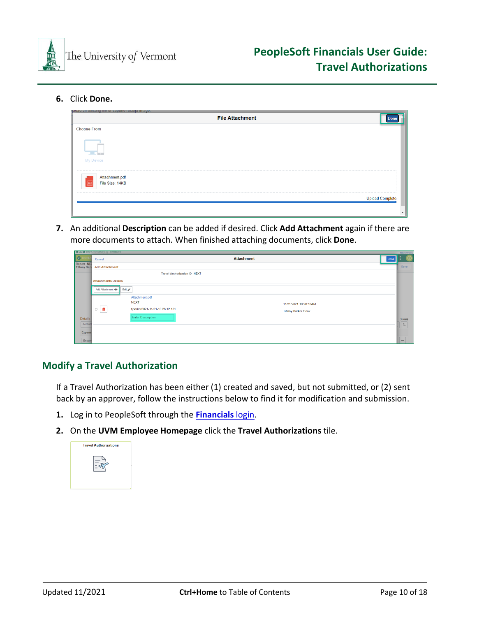

**6.** Click **Done.**

|                                                                                      | <b>File Attachment</b> |                        |
|--------------------------------------------------------------------------------------|------------------------|------------------------|
| <b>Choose From</b>                                                                   |                        |                        |
| My Device                                                                            |                        |                        |
| Attachment.pdf<br>File Size: 14KB<br>$\boxed{\mathsf{PDF}}$<br>for an an an an an an |                        |                        |
|                                                                                      |                        | <b>Upload Complete</b> |

**7.** An additional **Description** can be added if desired. Click **Add Attachment** again if there are more documents to attach. When finished attaching documents, click **Done**.

|                                   | <b>TARE THE UNIVERSITY OF YEIGHTORS</b> |                                     |                            |      | New Window                            |
|-----------------------------------|-----------------------------------------|-------------------------------------|----------------------------|------|---------------------------------------|
| <b>C</b> Travel                   | Cancel                                  |                                     | <b>Attachment</b>          | Done |                                       |
| Report NET<br><b>Tiffany Bark</b> | <b>Add Attachment</b>                   |                                     |                            |      | Save                                  |
|                                   |                                         | <b>Travel Authorization ID NEXT</b> |                            |      |                                       |
|                                   | <b>Attachments Details</b>              |                                     |                            |      |                                       |
|                                   | Add Attachment + Edit                   |                                     |                            |      |                                       |
|                                   |                                         | Attachment.pdf                      |                            |      |                                       |
|                                   |                                         | <b>NEXT</b>                         | 11/21/2021 10:26:18AM      |      |                                       |
|                                   | $\overline{\Xi}$<br>$\hfill \square$    | tjbarker2021-11-21-10.26.12.131     | <b>Tiffany Barker Cook</b> |      |                                       |
| <b>Details</b>                    |                                         | <b>Enter Description</b>            |                            |      |                                       |
| Accour                            |                                         |                                     |                            |      | $\frac{3 \text{ rows}}{1 \downarrow}$ |
| Expens                            |                                         |                                     |                            |      |                                       |
| Encun                             |                                         |                                     |                            |      | $\qquad \qquad \blacksquare$          |

# <span id="page-9-0"></span>**Modify a Travel Authorization**

If a Travel Authorization has been either (1) created and saved, but not submitted, or (2) sent back by an approver, follow the instructions below to find it for modification and submission.

- **1.** Log in to PeopleSoft through the **[Financials](https://www.uvm.edu/~erp/portal/)** login.
- **2.** On the **UVM Employee Homepage** click the **Travel Authorizations** tile.

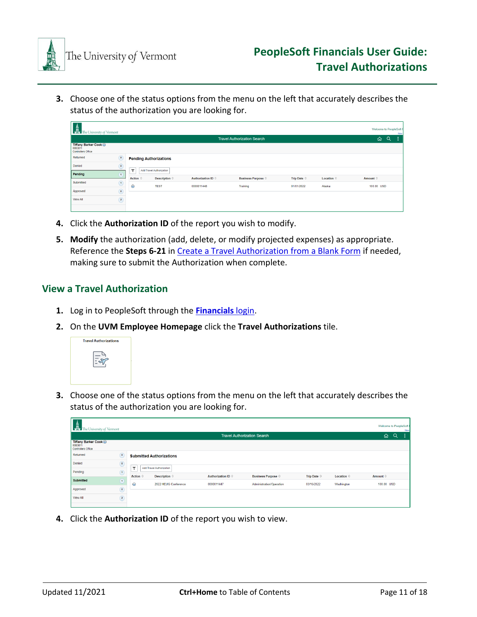

**3.** Choose one of the status options from the menu on the left that accurately describes the status of the authorization you are looking for.

| The University of Vermont                                     |                |                          |                               |                           |                                    |                   |            |            | Welcome to PeopleSoft<br>New |
|---------------------------------------------------------------|----------------|--------------------------|-------------------------------|---------------------------|------------------------------------|-------------------|------------|------------|------------------------------|
|                                                               |                |                          |                               |                           | <b>Travel Authorization Search</b> |                   |            | ⋒          | Q<br>-3                      |
| Tiffany Barker Cook ⊙<br>0083811<br><b>Controllers Office</b> |                |                          |                               |                           |                                    |                   |            |            |                              |
| Returned                                                      | $\odot$        |                          | <b>Pending Authorizations</b> |                           |                                    |                   |            |            |                              |
| Denied                                                        | $\circledcirc$ | $\overline{\phantom{a}}$ | Add Travel Authorization      |                           |                                    |                   |            |            |                              |
| Pending                                                       | $\bigcap$      |                          |                               |                           |                                    |                   |            |            |                              |
| Submitted                                                     | $\odot$        | Action 0                 | Description 0                 | <b>Authorization ID ©</b> | <b>Business Purpose ©</b>          | Trip Date $\circ$ | Location © | Amount ©   |                              |
|                                                               |                | $\odot$                  | <b>TEST</b>                   | 0000011448                | Training                           | 01/01/2022        | Alaska     | 100.00 USD |                              |
| Approved                                                      | $\odot$        |                          |                               |                           |                                    |                   |            |            |                              |
| View All                                                      | $\odot$        |                          |                               |                           |                                    |                   |            |            |                              |
|                                                               |                |                          |                               |                           |                                    |                   |            |            |                              |

- **4.** Click the **Authorization ID** of the report you wish to modify.
- **5. Modify** the authorization (add, delete, or modify projected expenses) as appropriate. Reference the **Steps 6-21** in [Create a Travel Authorization](#page-3-0) from a Blank Form if needed, making sure to submit the Authorization when complete.

# <span id="page-10-0"></span>**View a Travel Authorization**

- **1.** Log in to PeopleSoft through the **[Financials](https://www.uvm.edu/~erp/portal/)** login.
- **2.** On the **UVM Employee Homepage** click the **Travel Authorizations** tile.



**3.** Choose one of the status options from the menu on the left that accurately describes the status of the authorization you are looking for.

| $\frac{tan \theta}{sin \theta}$ The University of Vermont     |                                    |          |                                 |                    |                           |                      |                     | <b>Welcome to PeopleSoft</b> |  | New |
|---------------------------------------------------------------|------------------------------------|----------|---------------------------------|--------------------|---------------------------|----------------------|---------------------|------------------------------|--|-----|
|                                                               | <b>Travel Authorization Search</b> |          |                                 |                    |                           |                      |                     |                              |  |     |
| Tiffany Barker Cook ⊙<br>0083811<br><b>Controllers Office</b> |                                    |          |                                 |                    |                           |                      |                     |                              |  |     |
| Returned                                                      | $\sqrt{a}$                         |          | <b>Submitted Authorizations</b> |                    |                           |                      |                     |                              |  |     |
| Denied                                                        | $\sqrt{6}$                         | Y        | <b>Add Travel Authorization</b> |                    |                           |                      |                     |                              |  |     |
| Pending                                                       | $\circled{1}$                      |          |                                 |                    |                           |                      |                     |                              |  |     |
| <b>Submitted</b>                                              | $\left( 1\right)$                  | Action © | Description 0                   | Authorization ID © | <b>Business Purpose ©</b> | Trip Date $\Diamond$ | Location $\Diamond$ | Amount ©                     |  |     |
|                                                               |                                    | $\odot$  | 2022 HEUG Conference            | 0000011447         | Administration/Operation  | 03/15/2022           | Washington          | 100.00 USD                   |  |     |
| Approved                                                      | $\circ$                            |          |                                 |                    |                           |                      |                     |                              |  |     |
| View All                                                      | $\sqrt{2}$                         |          |                                 |                    |                           |                      |                     |                              |  |     |

**4.** Click the **Authorization ID** of the report you wish to view.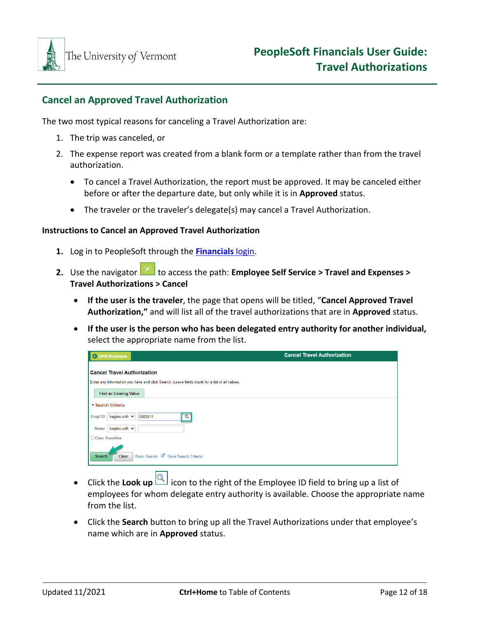

# <span id="page-11-0"></span>**Cancel an Approved Travel Authorization**

The two most typical reasons for canceling a Travel Authorization are:

- 1. The trip was canceled, or
- 2. The expense report was created from a blank form or a template rather than from the travel authorization.
	- To cancel a Travel Authorization, the report must be approved. It may be canceled either before or after the departure date, but only while it is in **Approved** status.
	- The traveler or the traveler's delegate(s) may cancel a Travel Authorization.

#### **Instructions to Cancel an Approved Travel Authorization**

- **1.** Log in to PeopleSoft through the **[Financials](https://www.uvm.edu/~erp/portal/)** login.
- **2.** Use the navigator **O** to access the path: **Employee Self Service > Travel and Expenses > Travel Authorizations > Cancel**
	- **If the user is the traveler**, the page that opens will be titled, "**Cancel Approved Travel Authorization,"** and will list all of the travel authorizations that are in **Approved** status.
	- **If the user is the person who has been delegated entry authority for another individual,**  select the appropriate name from the list.

| l Q<br><b>UVM Employee</b>                                                                                                          | <b>Cancel Travel Authorization</b> |
|-------------------------------------------------------------------------------------------------------------------------------------|------------------------------------|
| <b>Cancel Travel Authorization</b><br>Enter any information you have and click Search. Leave fields blank for a list of all values. |                                    |
| <b>Find an Existing Value</b><br>▼ Search Criteria                                                                                  |                                    |
| begins with $\sim$<br>Empl ID<br>$\alpha$<br>0083811<br>begins with $\vee$<br><b>Name</b>                                           |                                    |
| □ Case Sensitive                                                                                                                    |                                    |
| Basic Search & Save Search Criteria<br><b>Clear</b><br><b>Search</b>                                                                |                                    |

- Click the **Look up** icon to the right of the Employee ID field to bring up a list of employees for whom delegate entry authority is available. Choose the appropriate name from the list.
- Click the **Search** button to bring up all the Travel Authorizations under that employee's name which are in **Approved** status.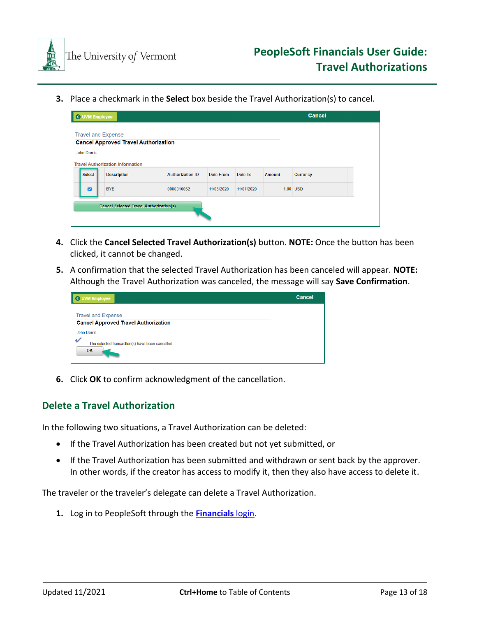

**3.** Place a checkmark in the **Select** box beside the Travel Authorization(s) to cancel.



- **4.** Click the **Cancel Selected Travel Authorization(s)** button. **NOTE:** Once the button has been clicked, it cannot be changed.
- **5.** A confirmation that the selected Travel Authorization has been canceled will appear. **NOTE:** Although the Travel Authorization was canceled, the message will say **Save Confirmation**.

| <b>UVM Employee</b>                                    | <b>Cancel</b> |
|--------------------------------------------------------|---------------|
| <b>Travel and Expense</b>                              |               |
| <b>Cancel Approved Travel Authorization</b>            |               |
| <b>John Dorris</b>                                     |               |
| The selected transaction(s) have been cancelled.<br>OK |               |

**6.** Click **OK** to confirm acknowledgment of the cancellation.

# <span id="page-12-0"></span>**Delete a Travel Authorization**

In the following two situations, a Travel Authorization can be deleted:

- If the Travel Authorization has been created but not yet submitted, or
- If the Travel Authorization has been submitted and withdrawn or sent back by the approver. In other words, if the creator has access to modify it, then they also have access to delete it.

The traveler or the traveler's delegate can delete a Travel Authorization.

**1.** Log in to PeopleSoft through the **[Financials](https://www.uvm.edu/~erp/portal/)** login.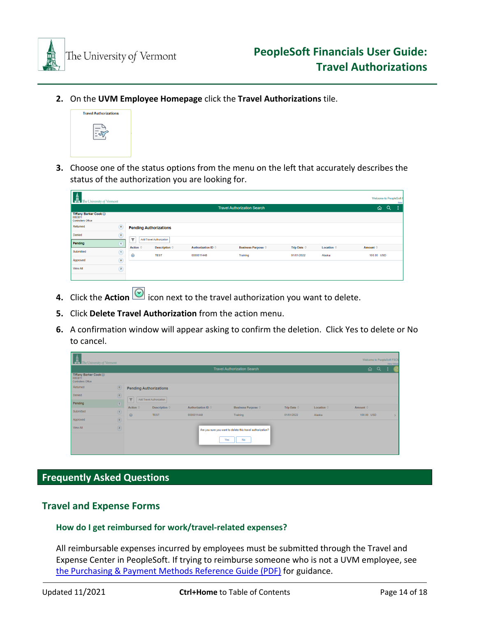

**2.** On the **UVM Employee Homepage** click the **Travel Authorizations** tile.



**3.** Choose one of the status options from the menu on the left that accurately describes the status of the authorization you are looking for.

| Welcome to PeopleSoft f<br>The University of Vermont          |                                    |                         |                                 |                    |                           |                      |            |                |  | New |
|---------------------------------------------------------------|------------------------------------|-------------------------|---------------------------------|--------------------|---------------------------|----------------------|------------|----------------|--|-----|
|                                                               | <b>Travel Authorization Search</b> |                         |                                 |                    |                           |                      |            |                |  |     |
| Tiffany Barker Cook ⊙<br>0083811<br><b>Controllers Office</b> |                                    |                         |                                 |                    |                           |                      |            |                |  |     |
| Returned                                                      | $\circ$                            |                         | <b>Pending Authorizations</b>   |                    |                           |                      |            |                |  |     |
| Denied                                                        | $\circ$                            | $\overline{\mathbf{Y}}$ | <b>Add Travel Authorization</b> |                    |                           |                      |            |                |  |     |
| Pending                                                       | $\mathbf{1}$                       |                         |                                 |                    |                           |                      |            |                |  |     |
|                                                               |                                    | Action $\circ$          | Description $\circ$             | Authorization ID © | <b>Business Purpose ©</b> | Trip Date $\Diamond$ | Location © | Amount $\circ$ |  |     |
| Submitted                                                     | $\left( \mathbf{1}\right)$         | $\odot$                 | <b>TEST</b>                     | 0000011448         | Training                  | 01/01/2022           | Alaska     | 100.00 USD     |  |     |
| Approved                                                      | $\circ$                            |                         |                                 |                    |                           |                      |            |                |  |     |
| View All                                                      | $\sqrt{2}$                         |                         |                                 |                    |                           |                      |            |                |  |     |
|                                                               |                                    |                         |                                 |                    |                           |                      |            |                |  |     |

- **4.** Click the **Action i**con next to the travel authorization you want to delete.
- **5.** Click **Delete Travel Authorization** from the action menu.
- **6.** A confirmation window will appear asking to confirm the deletion. Click Yes to delete or No to cancel.

| $\frac{1}{\sqrt{2}}$ The University of Vermont<br>Welcome to PeopleSoft FSCM<br>New Windo |                                     |                   |                                                                         |                    |                             |                      |            |            |  |  |  |
|-------------------------------------------------------------------------------------------|-------------------------------------|-------------------|-------------------------------------------------------------------------|--------------------|-----------------------------|----------------------|------------|------------|--|--|--|
| <b>Travel Authorization Search</b>                                                        |                                     |                   |                                                                         |                    |                             |                      |            |            |  |  |  |
| Tiffany Barker Cook ⊙<br>0083811<br>Controllers Office                                    |                                     |                   |                                                                         |                    |                             |                      |            |            |  |  |  |
| Returned                                                                                  | $\circ$                             |                   | <b>Pending Authorizations</b>                                           |                    |                             |                      |            |            |  |  |  |
| Denied                                                                                    | $\circledcirc$                      |                   | Add Travel Authorization                                                |                    |                             |                      |            |            |  |  |  |
| Pending                                                                                   | $\overline{\mathbf{f}}$             | Y                 |                                                                         |                    |                             |                      |            |            |  |  |  |
| Submitted                                                                                 | $\bigcap$<br>w                      | Action $\Diamond$ | Description 0                                                           | Authorization ID © | Business Purpose $\Diamond$ | Trip Date $\Diamond$ | Location 0 | Amount 0   |  |  |  |
| Approved                                                                                  | $\circ$<br>$\overline{\phantom{a}}$ | $\odot$           | <b>TEST</b>                                                             | 0000011448         | Training                    | 01/01/2022           | Alaska     | 100.00 USD |  |  |  |
| View All                                                                                  | $\circled{2}$                       |                   | Are you sure you want to delete this travel authorization?<br>Yes<br>No |                    |                             |                      |            |            |  |  |  |
|                                                                                           |                                     |                   |                                                                         |                    |                             |                      |            |            |  |  |  |

# <span id="page-13-0"></span>**Frequently Asked Questions**

## <span id="page-13-1"></span>**Travel and Expense Forms**

#### <span id="page-13-2"></span>**How do I get reimbursed for work/travel-related expenses?**

All reimbursable expenses incurred by employees must be submitted through the Travel and Expense Center in PeopleSoft. If trying to reimburse someone who is not a UVM employee, see [the Purchasing & Payment Methods Reference Guide \(PDF\)](https://www.uvm.edu/sites/default/files/Division-of-Finance/purchasing/purchasingpaymentmethods.pdf) for guidance.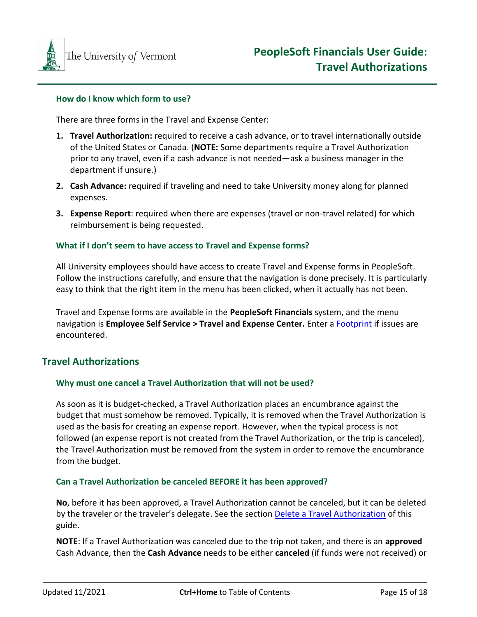

#### <span id="page-14-0"></span>**How do I know which form to use?**

There are three forms in the Travel and Expense Center:

- **1. Travel Authorization:** required to receive a cash advance, or to travel internationally outside of the United States or Canada. (**NOTE:** Some departments require a Travel Authorization prior to any travel, even if a cash advance is not needed—ask a business manager in the department if unsure.)
- **2. Cash Advance:** required if traveling and need to take University money along for planned expenses.
- **3. Expense Report**: required when there are expenses (travel or non-travel related) for which reimbursement is being requested.

#### <span id="page-14-1"></span>**What if I don't seem to have access to Travel and Expense forms?**

All University employees should have access to create Travel and Expense forms in PeopleSoft. Follow the instructions carefully, and ensure that the navigation is done precisely. It is particularly easy to think that the right item in the menu has been clicked, when it actually has not been.

Travel and Expense forms are available in the **PeopleSoft Financials** system, and the menu navigation is **Employee Self Service > Travel and Expense Center.** Enter a [Footprint](https://footprints.uvm.edu/catalystgroup.html) if issues are encountered.

## <span id="page-14-2"></span>**Travel Authorizations**

#### <span id="page-14-3"></span>**Why must one cancel a Travel Authorization that will not be used?**

As soon as it is budget-checked, a Travel Authorization places an encumbrance against the budget that must somehow be removed. Typically, it is removed when the Travel Authorization is used as the basis for creating an expense report. However, when the typical process is not followed (an expense report is not created from the Travel Authorization, or the trip is canceled), the Travel Authorization must be removed from the system in order to remove the encumbrance from the budget.

#### <span id="page-14-4"></span>**Can a Travel Authorization be canceled BEFORE it has been approved?**

**No**, before it has been approved, a Travel Authorization cannot be canceled, but it can be deleted by the traveler or the traveler's delegate. See the section Delete [a Travel Authorization](#page-12-0) of this guide.

**NOTE**: If a Travel Authorization was canceled due to the trip not taken, and there is an **approved** Cash Advance, then the **Cash Advance** needs to be either **canceled** (if funds were not received) or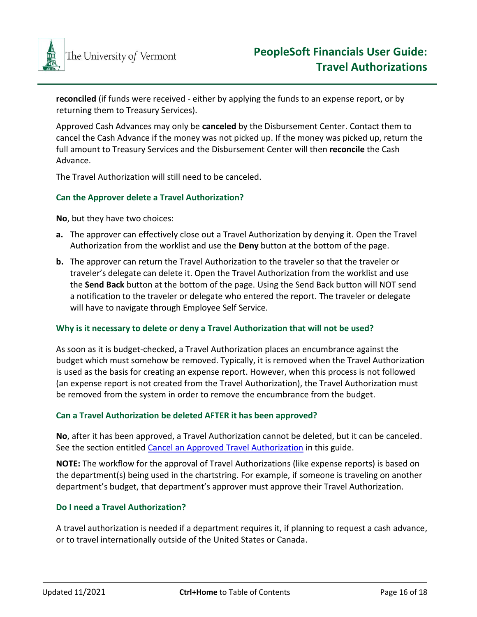

**reconciled** (if funds were received - either by applying the funds to an expense report, or by returning them to Treasury Services).

Approved Cash Advances may only be **canceled** by the Disbursement Center. Contact them to cancel the Cash Advance if the money was not picked up. If the money was picked up, return the full amount to Treasury Services and the Disbursement Center will then **reconcile** the Cash Advance.

The Travel Authorization will still need to be canceled.

#### <span id="page-15-0"></span>**Can the Approver delete a Travel Authorization?**

**No**, but they have two choices:

- **a.** The approver can effectively close out a Travel Authorization by denying it. Open the Travel Authorization from the worklist and use the **Deny** button at the bottom of the page.
- **b.** The approver can return the Travel Authorization to the traveler so that the traveler or traveler's delegate can delete it. Open the Travel Authorization from the worklist and use the **Send Back** button at the bottom of the page. Using the Send Back button will NOT send a notification to the traveler or delegate who entered the report. The traveler or delegate will have to navigate through Employee Self Service.

#### <span id="page-15-1"></span>**Why is it necessary to delete or deny a Travel Authorization that will not be used?**

As soon as it is budget-checked, a Travel Authorization places an encumbrance against the budget which must somehow be removed. Typically, it is removed when the Travel Authorization is used as the basis for creating an expense report. However, when this process is not followed (an expense report is not created from the Travel Authorization), the Travel Authorization must be removed from the system in order to remove the encumbrance from the budget.

#### <span id="page-15-2"></span>**Can a Travel Authorization be deleted AFTER it has been approved?**

**No**, after it has been approved, a Travel Authorization cannot be deleted, but it can be canceled. See the section entitled Cancel an Approved Travel Authorization in this guide.

**NOTE:** The workflow for the approval of Travel Authorizations (like expense reports) is based on the department(s) being used in the chartstring. For example, if someone is traveling on another department's budget, that department's approver must approve their Travel Authorization.

#### <span id="page-15-3"></span>**Do I need a Travel Authorization?**

A travel authorization is needed if a department requires it, if planning to request a cash advance, or to travel internationally outside of the United States or Canada.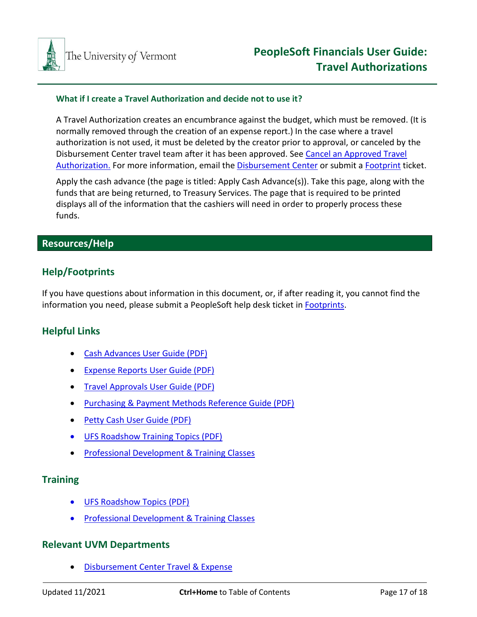

#### <span id="page-16-0"></span>**What if I create a Travel Authorization and decide not to use it?**

A Travel Authorization creates an encumbrance against the budget, which must be removed. (It is normally removed through the creation of an expense report.) In the case where a travel authorization is not used, it must be deleted by the creator prior to approval, or canceled by the Disbursement Center travel team after it has been approved. See [Cancel an Approved Travel](#page-11-0)  [Authorization.](#page-11-0) For more information, email the [Disbursement Center](mailto:travel@uvm.edu) or submit [a Footprint](https://footprints.uvm.edu/catalystgroup.html) ticket.

Apply the cash advance (the page is titled: Apply Cash Advance(s)). Take this page, along with the funds that are being returned, to Treasury Services. The page that is required to be printed displays all of the information that the cashiers will need in order to properly process these funds.

# <span id="page-16-1"></span>**Resources/Help**

# <span id="page-16-2"></span>**Help/Footprints**

If you have questions about information in this document, or, if after reading it, you cannot find the information you need, please submit a PeopleSoft help desk ticket in [Footprints.](https://footprints.uvm.edu/catalystgroup.html)

# <span id="page-16-3"></span>**Helpful Links**

- [Cash Advances User Guide \(PDF\)](http://www.uvm.edu/sites/default/files/Division-of-Finance/UserGuides/cashadvances.pdf)
- Expense Reports [User Guide \(PDF\)](http://www.uvm.edu/sites/default/files/Division-of-Finance/UserGuides/expensereports.pdf)
- Travel Approvals [User Guide \(PDF\)](http://www.uvm.edu/sites/default/files/Division-of-Finance/UserGuides/travelapprovals.pdf)
- [Purchasing & Payment Methods Reference Guide \(PDF\)](https://www.uvm.edu/sites/default/files/Division-of-Finance/purchasing/purchasingpaymentmethods.pdf)
- Petty Cash User Guide (PDF)
- UFS Roadshow [Training Topics \(PDF\)](https://www.uvm.edu/sites/default/files/Division-of-Finance/ufsroadshow.pdf)
- [Professional Development & Training Classes](http://www.uvm.edu/develop/?Page=skills/classesbydate.html)

## <span id="page-16-4"></span>**Training**

- [UFS Roadshow Topics \(PDF\)](https://www.uvm.edu/sites/default/files/Division-of-Finance/ufsroadshow.pdf)
- [Professional Development & Training Classes](http://www.uvm.edu/develop/?Page=skills/classesbydate.html)

## <span id="page-16-5"></span>**Relevant UVM Departments**

• [Disbursement Center Travel](https://www.uvm.edu/finance/travel) & Expense